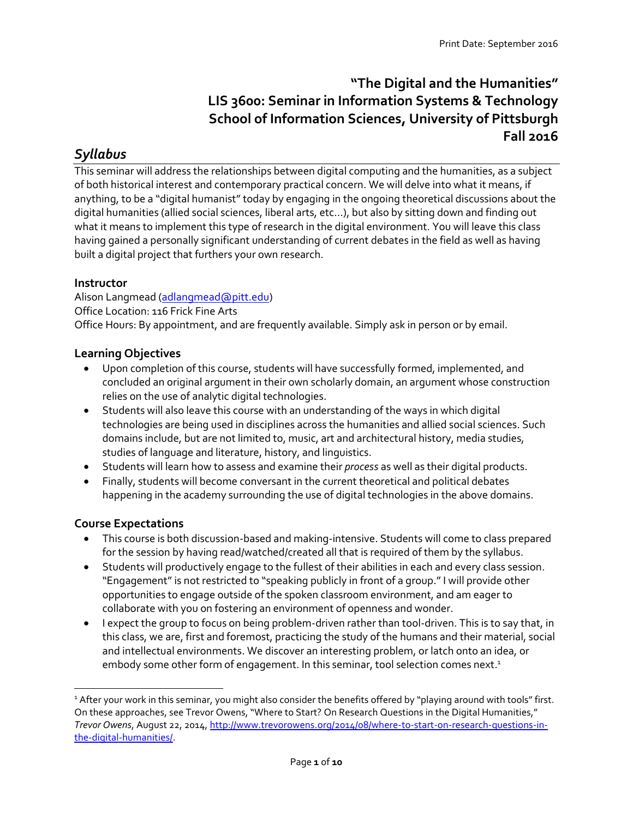# **"The Digital and the Humanities" LIS 3600: Seminar in Information Systems & Technology School of Information Sciences, University of Pittsburgh Fall 2016**

# *Syllabus*

This seminar will address the relationships between digital computing and the humanities, as a subject of both historical interest and contemporary practical concern. We will delve into what it means, if anything, to be a "digital humanist" today by engaging in the ongoing theoretical discussions about the digital humanities (allied social sciences, liberal arts, etc…), but also by sitting down and finding out what it means to implement this type of research in the digital environment. You will leave this class having gained a personally significant understanding of current debates in the field as well as having built a digital project that furthers your own research.

# **Instructor**

Alison Langmead [\(adlangmead@pitt.edu\)](mailto:adlangmead@pitt.edu) Office Location: 116 Frick Fine Arts Office Hours: By appointment, and are frequently available. Simply ask in person or by email.

### **Learning Objectives**

- Upon completion of this course, students will have successfully formed, implemented, and concluded an original argument in their own scholarly domain, an argument whose construction relies on the use of analytic digital technologies.
- Students will also leave this course with an understanding of the ways in which digital technologies are being used in disciplines across the humanities and allied social sciences. Such domains include, but are not limited to, music, art and architectural history, media studies, studies of language and literature, history, and linguistics.
- Students will learn how to assess and examine their *process* as well as their digital products.
- Finally, students will become conversant in the current theoretical and political debates happening in the academy surrounding the use of digital technologies in the above domains.

# **Course Expectations**

l

- This course is both discussion-based and making-intensive. Students will come to class prepared for the session by having read/watched/created all that is required of them by the syllabus.
- Students will productively engage to the fullest of their abilities in each and every class session. "Engagement" is not restricted to "speaking publicly in front of a group." I will provide other opportunities to engage outside of the spoken classroom environment, and am eager to collaborate with you on fostering an environment of openness and wonder.
- I expect the group to focus on being problem-driven rather than tool-driven. This is to say that, in this class, we are, first and foremost, practicing the study of the humans and their material, social and intellectual environments. We discover an interesting problem, or latch onto an idea, or embody some other form of engagement. In this seminar, tool selection comes next. 1

<sup>&</sup>lt;sup>1</sup> After your work in this seminar, you might also consider the benefits offered by "playing around with tools" first. On these approaches, see Trevor Owens, "Where to Start? On Research Questions in the Digital Humanities," *Trevor Owens*, August 22, 2014, [http://www.trevorowens.org/2014/08/where-to-start-on-research-questions-in](http://www.trevorowens.org/2014/08/where-to-start-on-research-questions-in-the-digital-humanities/)[the-digital-humanities/.](http://www.trevorowens.org/2014/08/where-to-start-on-research-questions-in-the-digital-humanities/)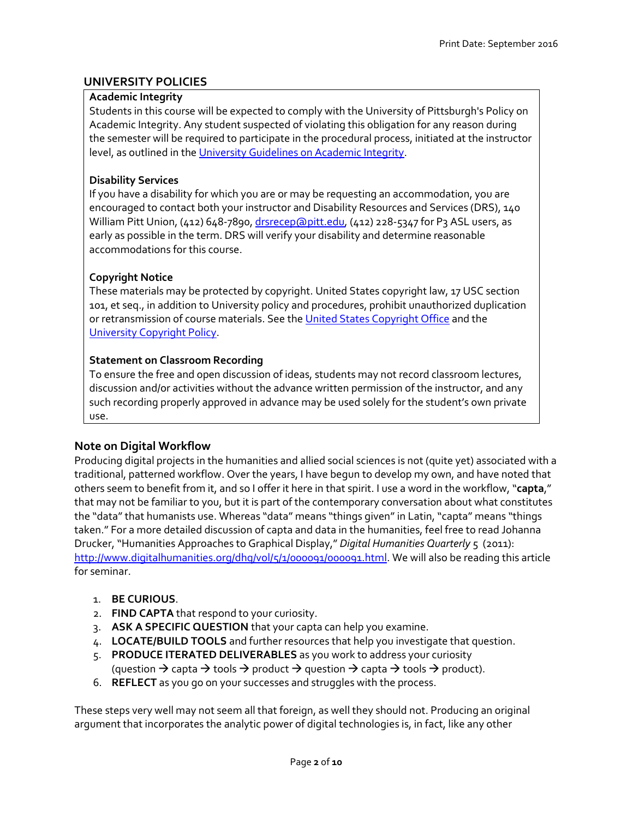# **UNIVERSITY POLICIES**

#### **Academic Integrity**

Students in this course will be expected to comply with the University of Pittsburgh's Policy on Academic Integrity. Any student suspected of violating this obligation for any reason during the semester will be required to participate in the procedural process, initiated at the instructor level, as outlined in th[e University Guidelines on Academic Integrity.](http://www.as.pitt.edu/fac/policies/academic-integrity)

## **Disability Services**

If you have a disability for which you are or may be requesting an accommodation, you are encouraged to contact both your instructor and Disability Resources and Services (DRS), 140 William Pitt Union, (412) 648-7890, [drsrecep@pitt.edu,](mailto:drsrecep@pitt.edu) (412) 228-5347 for P3 ASL users, as early as possible in the term. DRS will verify your disability and determine reasonable accommodations for this course.

### **Copyright Notice**

These materials may be protected by copyright. United States copyright law, 17 USC section 101, et seq., in addition to University policy and procedures, prohibit unauthorized duplication or retransmission of course materials. See th[e United States Copyright Office](http://www.copyright.gov/) and the [University Copyright Policy.](http://oscp.library.pitt.edu/intellectual-property/copyright/pitt-policies-on-copyright/)

### **Statement on Classroom Recording**

To ensure the free and open discussion of ideas, students may not record classroom lectures, discussion and/or activities without the advance written permission of the instructor, and any such recording properly approved in advance may be used solely for the student's own private use.

# **Note on Digital Workflow**

Producing digital projects in the humanities and allied social sciences is not (quite yet) associated with a traditional, patterned workflow. Over the years, I have begun to develop my own, and have noted that others seem to benefit from it, and so I offer it here in that spirit. I use a word in the workflow, "**capta**," that may not be familiar to you, but it is part of the contemporary conversation about what constitutes the "data" that humanists use. Whereas "data" means "things given" in Latin, "capta" means "things taken." For a more detailed discussion of capta and data in the humanities, feel free to read Johanna Drucker, "Humanities Approaches to Graphical Display," *Digital Humanities Quarterly* 5 (2011): [http://www.digitalhumanities.org/dhq/vol/5/1/000091/000091.html.](http://www.digitalhumanities.org/dhq/vol/5/1/000091/000091.html) We will also be reading this article for seminar.

#### 1. **BE CURIOUS**.

- 2. **FIND CAPTA** that respond to your curiosity.
- 3. **ASK A SPECIFIC QUESTION** that your capta can help you examine.
- 4. **LOCATE/BUILD TOOLS** and further resources that help you investigate that question.
- 5. **PRODUCE ITERATED DELIVERABLES** as you work to address your curiosity (question  $\rightarrow$  capta  $\rightarrow$  tools  $\rightarrow$  product  $\rightarrow$  question  $\rightarrow$  capta  $\rightarrow$  tools  $\rightarrow$  product).
- 6. **REFLECT** as you go on your successes and struggles with the process.

These steps very well may not seem all that foreign, as well they should not. Producing an original argument that incorporates the analytic power of digital technologies is, in fact, like any other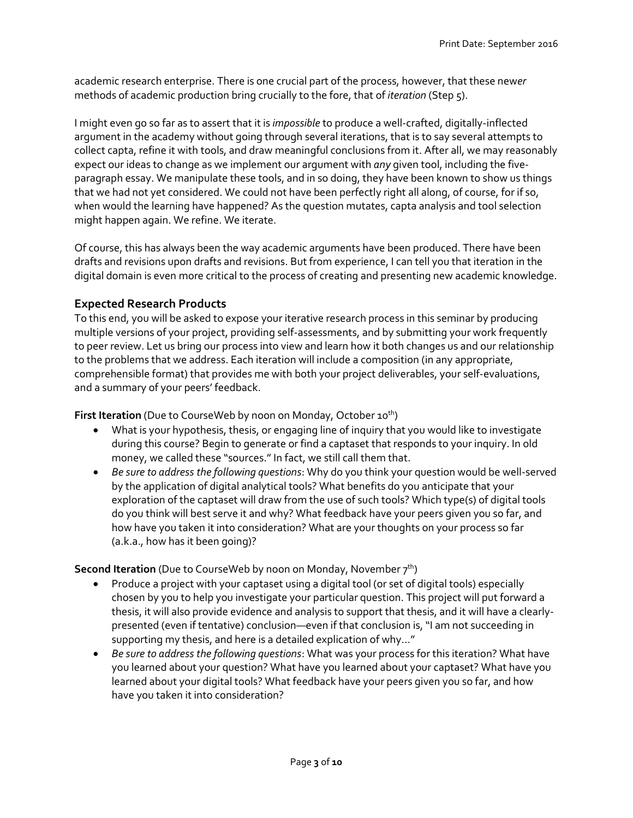academic research enterprise. There is one crucial part of the process, however, that these new*er* methods of academic production bring crucially to the fore, that of *iteration* (Step 5).

I might even go so far as to assert that it is *impossible* to produce a well-crafted, digitally-inflected argument in the academy without going through several iterations, that is to say several attempts to collect capta, refine it with tools, and draw meaningful conclusions from it. After all, we may reasonably expect our ideas to change as we implement our argument with *any* given tool, including the fiveparagraph essay. We manipulate these tools, and in so doing, they have been known to show us things that we had not yet considered. We could not have been perfectly right all along, of course, for if so, when would the learning have happened? As the question mutates, capta analysis and tool selection might happen again. We refine. We iterate.

Of course, this has always been the way academic arguments have been produced. There have been drafts and revisions upon drafts and revisions. But from experience, I can tell you that iteration in the digital domain is even more critical to the process of creating and presenting new academic knowledge.

# **Expected Research Products**

To this end, you will be asked to expose your iterative research process in this seminar by producing multiple versions of your project, providing self-assessments, and by submitting your work frequently to peer review. Let us bring our process into view and learn how it both changes us and our relationship to the problems that we address. Each iteration will include a composition (in any appropriate, comprehensible format) that provides me with both your project deliverables, your self-evaluations, and a summary of your peers' feedback.

**First Iteration** (Due to CourseWeb by noon on Monday, October 10<sup>th</sup>)

- What is your hypothesis, thesis, or engaging line of inquiry that you would like to investigate during this course? Begin to generate or find a captaset that responds to your inquiry. In old money, we called these "sources." In fact, we still call them that.
- *Be sure to address the following questions*: Why do you think your question would be well-served by the application of digital analytical tools? What benefits do you anticipate that your exploration of the captaset will draw from the use of such tools? Which type(s) of digital tools do you think will best serve it and why? What feedback have your peers given you so far, and how have you taken it into consideration? What are your thoughts on your process so far (a.k.a., how has it been going)?

**Second Iteration** (Due to CourseWeb by noon on Monday, November 7<sup>th</sup>)

- Produce a project with your captaset using a digital tool (or set of digital tools) especially chosen by you to help you investigate your particular question. This project will put forward a thesis, it will also provide evidence and analysis to support that thesis, and it will have a clearlypresented (even if tentative) conclusion—even if that conclusion is, "I am not succeeding in supporting my thesis, and here is a detailed explication of why…"
- *Be sure to address the following questions*: What was your process for this iteration? What have you learned about your question? What have you learned about your captaset? What have you learned about your digital tools? What feedback have your peers given you so far, and how have you taken it into consideration?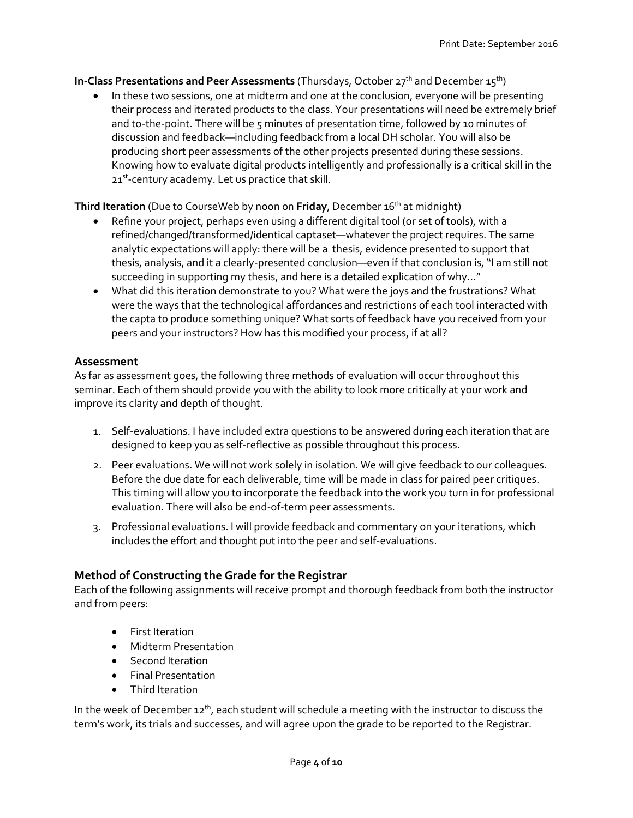#### **In-Class Presentations and Peer Assessments** (Thursdays, October 27<sup>th</sup> and December 15<sup>th</sup>)

 In these two sessions, one at midterm and one at the conclusion, everyone will be presenting their process and iterated products to the class. Your presentations will need be extremely brief and to-the-point. There will be 5 minutes of presentation time, followed by 10 minutes of discussion and feedback—including feedback from a local DH scholar. You will also be producing short peer assessments of the other projects presented during these sessions. Knowing how to evaluate digital products intelligently and professionally is a critical skill in the 21<sup>st</sup>-century academy. Let us practice that skill.

**Third Iteration** (Due to CourseWeb by noon on **Friday**, December 16th at midnight)

- Refine your project, perhaps even using a different digital tool (or set of tools), with a refined/changed/transformed/identical captaset—whatever the project requires. The same analytic expectations will apply: there will be a thesis, evidence presented to support that thesis, analysis, and it a clearly-presented conclusion—even if that conclusion is, "I am still not succeeding in supporting my thesis, and here is a detailed explication of why…"
- What did this iteration demonstrate to you? What were the joys and the frustrations? What were the ways that the technological affordances and restrictions of each tool interacted with the capta to produce something unique? What sorts of feedback have you received from your peers and your instructors? How has this modified your process, if at all?

### **Assessment**

As far as assessment goes, the following three methods of evaluation will occur throughout this seminar. Each of them should provide you with the ability to look more critically at your work and improve its clarity and depth of thought.

- 1. Self-evaluations. I have included extra questions to be answered during each iteration that are designed to keep you as self-reflective as possible throughout this process.
- 2. Peer evaluations. We will not work solely in isolation. We will give feedback to our colleagues. Before the due date for each deliverable, time will be made in class for paired peer critiques. This timing will allow you to incorporate the feedback into the work you turn in for professional evaluation. There will also be end-of-term peer assessments.
- 3. Professional evaluations. I will provide feedback and commentary on your iterations, which includes the effort and thought put into the peer and self-evaluations.

# **Method of Constructing the Grade for the Registrar**

Each of the following assignments will receive prompt and thorough feedback from both the instructor and from peers:

- **•** First Iteration
- Midterm Presentation
- Second Iteration
- Final Presentation
- Third Iteration

In the week of December  $12^{th}$ , each student will schedule a meeting with the instructor to discuss the term's work, its trials and successes, and will agree upon the grade to be reported to the Registrar.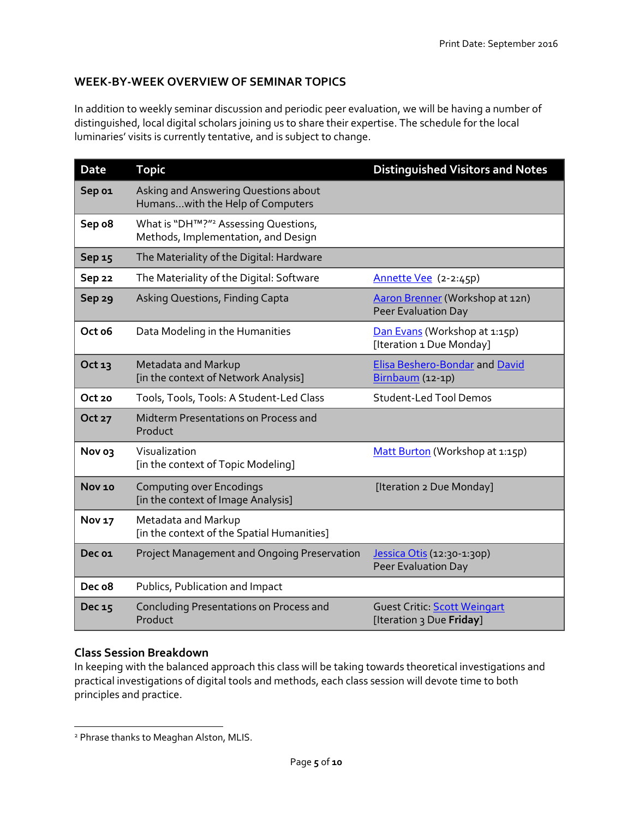# **WEEK-BY-WEEK OVERVIEW OF SEMINAR TOPICS**

In addition to weekly seminar discussion and periodic peer evaluation, we will be having a number of distinguished, local digital scholars joining us to share their expertise. The schedule for the local luminaries' visits is currently tentative, and is subject to change.

| <b>Date</b>       | <b>Topic</b>                                                                            | <b>Distinguished Visitors and Notes</b>                   |
|-------------------|-----------------------------------------------------------------------------------------|-----------------------------------------------------------|
| Sep 01            | Asking and Answering Questions about<br>Humanswith the Help of Computers                |                                                           |
| Sep o8            | What is "DH™?" <sup>2</sup> Assessing Questions,<br>Methods, Implementation, and Design |                                                           |
| Sep 15            | The Materiality of the Digital: Hardware                                                |                                                           |
| <b>Sep 22</b>     | The Materiality of the Digital: Software                                                | Annette Vee (2-2:45p)                                     |
| Sep <sub>29</sub> | Asking Questions, Finding Capta                                                         | Aaron Brenner (Workshop at 12n)<br>Peer Evaluation Day    |
| Oct o6            | Data Modeling in the Humanities                                                         | Dan Evans (Workshop at 1:15p)<br>[Iteration 1 Due Monday] |
| Oct 13            | Metadata and Markup<br>[in the context of Network Analysis]                             | Elisa Beshero-Bondar and David<br>Birnbaum (12-1p)        |
| Oct 20            | Tools, Tools, Tools: A Student-Led Class                                                | <b>Student-Led Tool Demos</b>                             |
| Oct 27            | Midterm Presentations on Process and<br>Product                                         |                                                           |
| Nov 03            | Visualization<br>[in the context of Topic Modeling]                                     | Matt Burton (Workshop at 1:15p)                           |
| <b>Nov 10</b>     | <b>Computing over Encodings</b><br>[in the context of Image Analysis]                   | [Iteration 2 Due Monday]                                  |
| <b>Nov 17</b>     | Metadata and Markup<br>[in the context of the Spatial Humanities]                       |                                                           |
| Dec 01            | Project Management and Ongoing Preservation                                             | Jessica Otis (12:30-1:30p)<br>Peer Evaluation Day         |
| Dec o8            | Publics, Publication and Impact                                                         |                                                           |
| Dec 15            | Concluding Presentations on Process and<br>Product                                      | Guest Critic: Scott Weingart<br>[Iteration 3 Due Friday]  |

#### **Class Session Breakdown**

 $\overline{\phantom{a}}$ 

In keeping with the balanced approach this class will be taking towards theoretical investigations and practical investigations of digital tools and methods, each class session will devote time to both principles and practice.

<sup>&</sup>lt;sup>2</sup> Phrase thanks to Meaghan Alston, MLIS.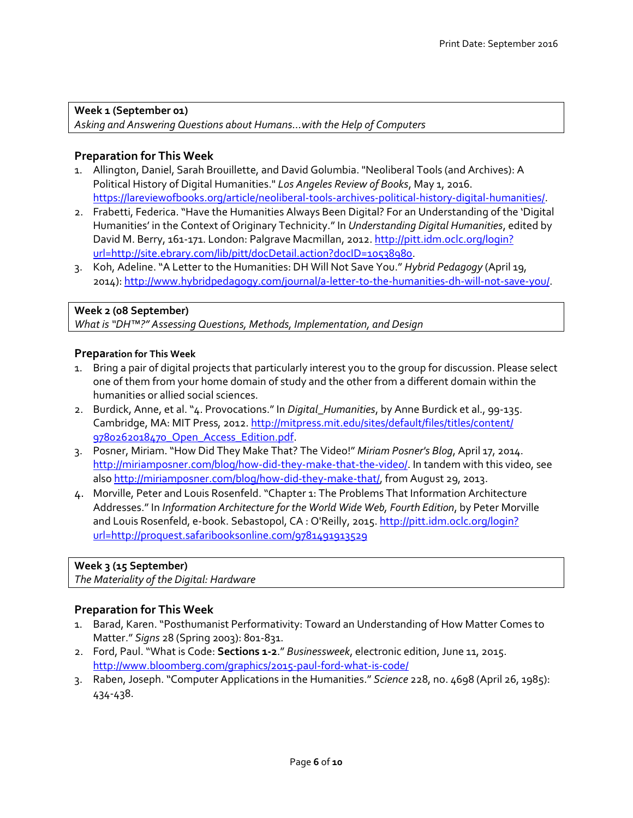**Week 1 (September 01)** *Asking and Answering Questions about Humans…with the Help of Computers*

#### **Preparation for This Week**

- 1. Allington, Daniel, Sarah Brouillette, and David Golumbia. "Neoliberal Tools (and Archives): A Political History of Digital Humanities." *Los Angeles Review of Books*, May 1, 2016. [https://lareviewofbooks.org/article/neoliberal-tools-archives-political-history-digital-humanities/.](https://lareviewofbooks.org/article/neoliberal-tools-archives-political-history-digital-humanities/)
- 2. Frabetti, Federica. "Have the Humanities Always Been Digital? For an Understanding of the 'Digital Humanities' in the Context of Originary Technicity." In *Understanding Digital Humanities*, edited by David M. Berry, 161-171. London: Palgrave Macmillan, 2012. [http://pitt.idm.oclc.org/login?](http://pitt.idm.oclc.org/login?url=http://site.ebrary.com/lib/pitt/docDetail.action?docID=10538980) [url=http://site.ebrary.com/lib/pitt/docDetail.action?docID=10538980.](http://pitt.idm.oclc.org/login?url=http://site.ebrary.com/lib/pitt/docDetail.action?docID=10538980)
- 3. Koh, Adeline. "A Letter to the Humanities: DH Will Not Save You." *Hybrid Pedagogy* (April 19, 2014)[: http://www.hybridpedagogy.com/journal/a-letter-to-the-humanities-dh-will-not-save-you/.](http://www.hybridpedagogy.com/journal/a-letter-to-the-humanities-dh-will-not-save-you/)

#### **Week 2 (08 September)**

*What is "DH™?" Assessing Questions, Methods, Implementation, and Design*

#### **Preparation for This Week**

- 1. Bring a pair of digital projects that particularly interest you to the group for discussion. Please select one of them from your home domain of study and the other from a different domain within the humanities or allied social sciences.
- 2. Burdick, Anne, et al. "4. Provocations."In *Digital\_Humanities*, by Anne Burdick et al., 99-135. Cambridge, MA: MIT Press, 2012. [http://mitpress.mit.edu/sites/default/files/titles/content/](http://mitpress.mit.edu/sites/default/files/titles/content/9780262018470_Open_Access_Edition.pdf) [9780262018470\\_Open\\_Access\\_Edition.pdf.](http://mitpress.mit.edu/sites/default/files/titles/content/9780262018470_Open_Access_Edition.pdf)
- 3. Posner, Miriam. "How Did They Make That? The Video!" *Miriam Posner's Blog*, April 17, 2014. [http://miriamposner.com/blog/how-did-they-make-that-the-video/.](http://miriamposner.com/blog/how-did-they-make-that-the-video/) In tandem with this video, see als[o http://miriamposner.com/blog/how-did-they-make-that/,](http://miriamposner.com/blog/how-did-they-make-that/) from August 29, 2013.
- 4. Morville, Peter and Louis Rosenfeld. "Chapter 1: The Problems That Information Architecture Addresses."In *Information Architecture for the World Wide Web, Fourth Edition*, by Peter Morville and Louis Rosenfeld, e-book. Sebastopol, CA : O'Reilly, 2015[. http://pitt.idm.oclc.org/login?](http://pitt.idm.oclc.org/login?url=http://proquest.safaribooksonline.com/9781491913529) [url=http://proquest.safaribooksonline.com/9781491913529](http://pitt.idm.oclc.org/login?url=http://proquest.safaribooksonline.com/9781491913529)

#### **Week 3 (15 September)**

*The Materiality of the Digital: Hardware*

# **Preparation for This Week**

- 1. Barad, Karen. "Posthumanist Performativity: Toward an Understanding of How Matter Comes to Matter." *Signs* 28 (Spring 2003): 801-831.
- 2. Ford, Paul."What is Code: **Sections 1-2**." *Businessweek*, electronic edition, June 11, 2015. <http://www.bloomberg.com/graphics/2015-paul-ford-what-is-code/>
- 3. Raben, Joseph. "Computer Applications in the Humanities." *Science* 228, no. 4698 (April 26, 1985): 434-438.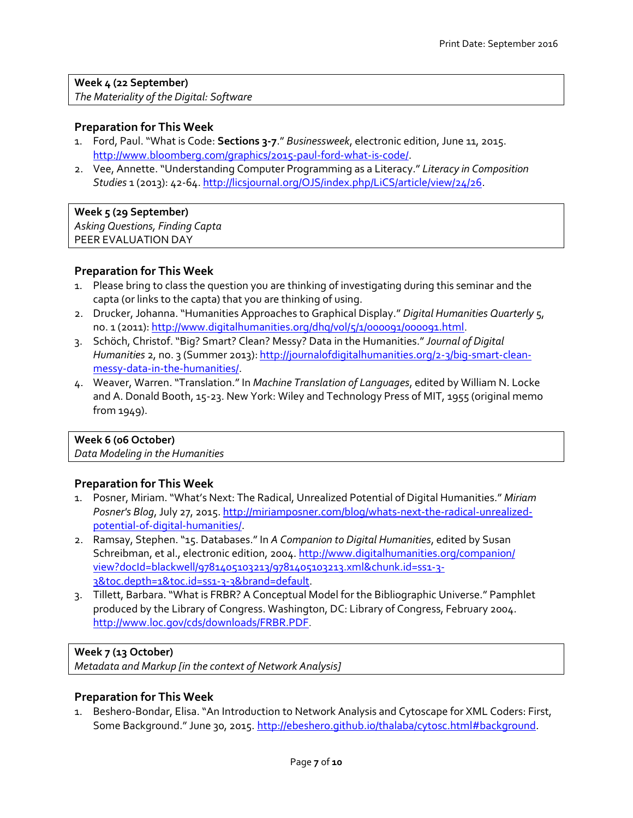**Week 4 (22 September)** *The Materiality of the Digital: Software*

#### **Preparation for This Week**

- 1. Ford, Paul. "What is Code: **Sections 3-7**." *Businessweek*, electronic edition, June 11, 2015. [http://www.bloomberg.com/graphics/2015-paul-ford-what-is-code/.](http://www.bloomberg.com/graphics/2015-paul-ford-what-is-code/)
- 2. Vee, Annette. "Understanding Computer Programming as a Literacy." *Literacy in Composition Studies* 1 (2013): 42-64[. http://licsjournal.org/OJS/index.php/LiCS/article/view/24/26.](http://licsjournal.org/OJS/index.php/LiCS/article/view/24/26)

**Week 5 (29 September)** *Asking Questions, Finding Capta* PEER EVALUATION DAY

#### **Preparation for This Week**

- 1. Please bring to class the question you are thinking of investigating during this seminar and the capta (or links to the capta) that you are thinking of using.
- 2. Drucker, Johanna. "Humanities Approaches to Graphical Display." *Digital Humanities Quarterly* 5, no. 1 (2011)[: http://www.digitalhumanities.org/dhq/vol/5/1/000091/000091.html](http://www.digitalhumanities.org/dhq/vol/5/1/000091/000091.html).
- 3. Schöch, Christof. "Big? Smart? Clean? Messy? Data in the Humanities."*Journal of Digital Humanities* 2, no. 3 (Summer 2013): [http://journalofdigitalhumanities.org/2-3/big-smart-clean](http://journalofdigitalhumanities.org/2-3/big-smart-clean-messy-data-in-the-humanities/)[messy-data-in-the-humanities/.](http://journalofdigitalhumanities.org/2-3/big-smart-clean-messy-data-in-the-humanities/)
- 4. Weaver, Warren. "Translation."In *Machine Translation of Languages*, edited by William N. Locke and A. Donald Booth, 15-23. New York: Wiley and Technology Press of MIT, 1955 (original memo from 1949).

#### **Week 6 (06 October)**

*Data Modeling in the Humanities*

#### **Preparation for This Week**

- 1. Posner, Miriam. "What's Next: The Radical, Unrealized Potential of Digital Humanities." *Miriam Posner's Blog*, July 27, 2015. [http://miriamposner.com/blog/whats-next-the-radical-unrealized](http://miriamposner.com/blog/whats-next-the-radical-unrealized-potential-of-digital-humanities/)[potential-of-digital-humanities/.](http://miriamposner.com/blog/whats-next-the-radical-unrealized-potential-of-digital-humanities/)
- 2. Ramsay, Stephen. "15. Databases."In *A Companion to Digital Humanities*, edited by Susan Schreibman, et al., electronic edition, 2004. [http://www.digitalhumanities.org/companion/](http://www.digitalhumanities.org/companion/view?docId=blackwell/9781405103213/9781405103213.xml&chunk.id=ss1-3-3&toc.depth=1&toc.id=ss1-3-3&brand=default) [view?docId=blackwell/9781405103213/9781405103213.xml&chunk.id=ss1-3-](http://www.digitalhumanities.org/companion/view?docId=blackwell/9781405103213/9781405103213.xml&chunk.id=ss1-3-3&toc.depth=1&toc.id=ss1-3-3&brand=default) [3&toc.depth=1&toc.id=ss1-3-3&brand=default.](http://www.digitalhumanities.org/companion/view?docId=blackwell/9781405103213/9781405103213.xml&chunk.id=ss1-3-3&toc.depth=1&toc.id=ss1-3-3&brand=default)
- 3. Tillett, Barbara. "What is FRBR? A Conceptual Model for the Bibliographic Universe." Pamphlet produced by the Library of Congress. Washington, DC: Library of Congress, February 2004. <http://www.loc.gov/cds/downloads/FRBR.PDF>.

#### **Week 7 (13 October)**

*Metadata and Markup [in the context of Network Analysis]*

#### **Preparation for This Week**

1. Beshero-Bondar, Elisa. "An Introduction to Network Analysis and Cytoscape for XML Coders: First, Some Background." June 30, 2015. [http://ebeshero.github.io/thalaba/cytosc.html#background.](http://ebeshero.github.io/thalaba/cytosc.html#background)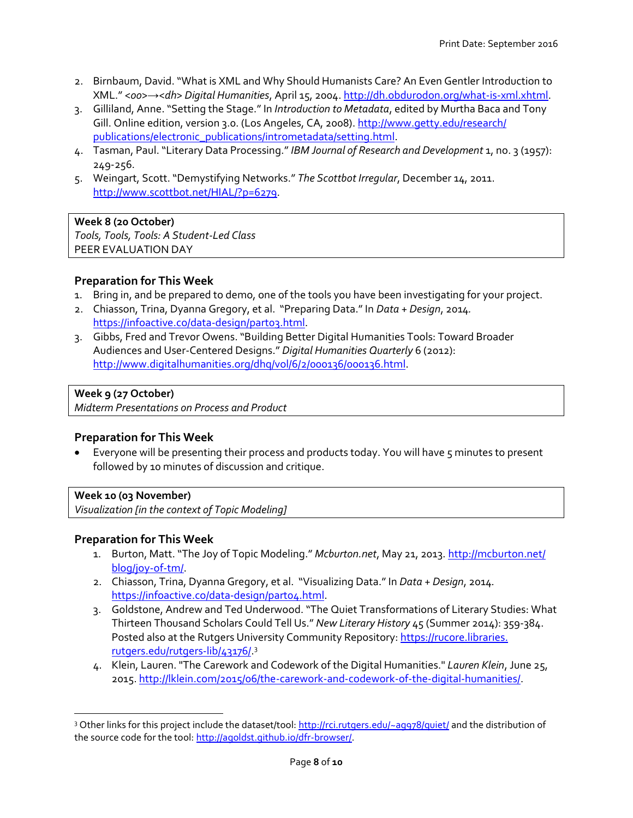- 2. Birnbaum, David. "What is XML and Why Should Humanists Care? An Even Gentler Introduction to XML." *<oo>→<dh> Digital Humanities*, April 15, 2004[. http://dh.obdurodon.org/what-is-xml.xhtml.](http://dh.obdurodon.org/what-is-xml.xhtml)
- 3. Gilliland, Anne. "Setting the Stage."In *Introduction to Metadata*, edited by Murtha Baca and Tony Gill. Online edition, version 3.0. (Los Angeles, CA, 2008). [http://www.getty.edu/research/](http://www.getty.edu/research/publications/electronic_publications/intrometadata/setting.html) [publications/electronic\\_publications/intrometadata/setting.html.](http://www.getty.edu/research/publications/electronic_publications/intrometadata/setting.html)
- 4. Tasman, Paul. "Literary Data Processing."*IBM Journal of Research and Development* 1, no. 3 (1957): 249-256.
- 5. Weingart, Scott. "Demystifying Networks." *The Scottbot Irregular*, December 14, 2011. [http://www.scottbot.net/HIAL/?p=6279.](http://www.scottbot.net/HIAL/?p=6279)

**Week 8 (20 October)** *Tools, Tools, Tools: A Student-Led Class* PEER EVALUATION DAY

# **Preparation for This Week**

- 1. Bring in, and be prepared to demo, one of the tools you have been investigating for your project.
- 2. Chiasson, Trina, Dyanna Gregory, et al. "Preparing Data." In *Data + Design*, 2014*.* [https://infoactive.co/data-design/part03.html.](https://infoactive.co/data-design/part03.html)
- 3. Gibbs, Fred and Trevor Owens. "Building Better Digital Humanities Tools: Toward Broader Audiences and User-Centered Designs." *Digital Humanities Quarterly* 6 (2012): [http://www.digitalhumanities.org/dhq/vol/6/2/000136/000136.html.](http://www.digitalhumanities.org/dhq/vol/6/2/000136/000136.html)

# **Week 9 (27 October)**

*Midterm Presentations on Process and Product*

# **Preparation for This Week**

• Everyone will be presenting their process and products today. You will have 5 minutes to present followed by 10 minutes of discussion and critique.

#### **Week 10 (03 November)**

l

*Visualization [in the context of Topic Modeling]*

# **Preparation for This Week**

- 1. Burton, Matt. "The Joy of Topic Modeling." *Mcburton.net*, May 21, 2013. [http://mcburton.net/](http://mcburton.net/blog/joy-of-tm/) [blog/joy-of-tm/.](http://mcburton.net/blog/joy-of-tm/)
- 2. Chiasson, Trina, Dyanna Gregory, et al. "Visualizing Data."In *Data + Design*, 2014*.* [https://infoactive.co/data-design/part04.html.](https://infoactive.co/data-design/part04.html)
- 3. Goldstone, Andrew and Ted Underwood. "The Quiet Transformations of Literary Studies: What Thirteen Thousand Scholars Could Tell Us." *New Literary History* 45 (Summer 2014): 359-384. Posted also at the Rutgers University Community Repository[: https://rucore.libraries.](https://rucore.libraries.rutgers.edu/rutgers-lib/43176/) [rutgers.edu/rutgers-lib/43176/.](https://rucore.libraries.rutgers.edu/rutgers-lib/43176/)<sup>3</sup>
- 4. Klein, Lauren. "The Carework and Codework of the Digital Humanities." *Lauren Klein*, June 25, 2015[. http://lklein.com/2015/06/the-carework-and-codework-of-the-digital-humanities/.](http://lklein.com/2015/06/the-carework-and-codework-of-the-digital-humanities/)

<sup>&</sup>lt;sup>3</sup> Other links for this project include the dataset/tool:<http://rci.rutgers.edu/~ag978/quiet/> and the distribution of the source code for the tool: [http://agoldst.github.io/dfr-browser/.](http://agoldst.github.io/dfr-browser/)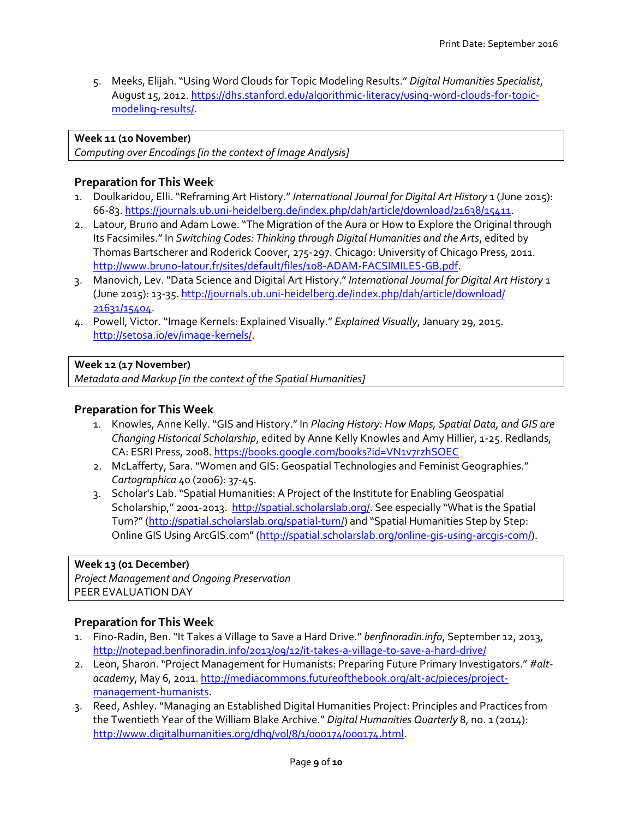5. Meeks, Elijah. "Using Word Clouds for Topic Modeling Results." *Digital Humanities Specialist*, August 15, 2012. [https://dhs.stanford.edu/algorithmic-literacy/using-word-clouds-for-topic](https://dhs.stanford.edu/algorithmic-literacy/using-word-clouds-for-topic-modeling-results/)[modeling-results/.](https://dhs.stanford.edu/algorithmic-literacy/using-word-clouds-for-topic-modeling-results/)

#### **Week 11 (10 November)**

*Computing over Encodings [in the context of Image Analysis]*

### **Preparation for This Week**

- 1. Doulkaridou, Elli. "Reframing Art History."*International Journal for Digital Art History* 1 (June 2015): 66-83. [https://journals.ub.uni-heidelberg.de/index.php/dah/article/download/21638/15411.](https://journals.ub.uni-heidelberg.de/index.php/dah/article/download/21638/15411)
- 2. Latour, Bruno and Adam Lowe. "The Migration of the Aura or How to Explore the Original through Its Facsimiles." In *Switching Codes: Thinking through Digital Humanities and the Arts*, edited by Thomas Bartscherer and Roderick Coover, 275-297. Chicago: University of Chicago Press, 2011. [http://www.bruno-latour.fr/sites/default/files/108-ADAM-FACSIMILES-GB.pdf.](http://www.bruno-latour.fr/sites/default/files/108-ADAM-FACSIMILES-GB.pdf)
- 3. Manovich, Lev. "Data Science and Digital Art History." *International Journal for Digital Art History* 1 (June 2015): 13-35[. http://journals.ub.uni-heidelberg.de/index.php/dah/article/download/](http://journals.ub.uni-heidelberg.de/index.php/dah/article/download/21631/15404) [21631/15404.](http://journals.ub.uni-heidelberg.de/index.php/dah/article/download/21631/15404)
- 4. Powell, Victor. "Image Kernels: Explained Visually." *Explained Visually*, January 29, 2015. [http://setosa.io/ev/image-kernels/.](http://setosa.io/ev/image-kernels/)

#### **Week 12 (17 November)**

*Metadata and Markup [in the context of the Spatial Humanities]*

#### **Preparation for This Week**

- 1. Knowles, Anne Kelly. "GIS and History." In *Placing History: How Maps, Spatial Data, and GIS are Changing Historical Scholarship*, edited by Anne Kelly Knowles and Amy Hillier, 1-25. Redlands, CA: ESRI Press, 2008.<https://books.google.com/books?id=VN1v7rzhSQEC>
- 2. McLafferty, Sara. "Women and GIS: Geospatial Technologies and Feminist Geographies." *Cartographica* 40 (2006): 37-45.
- 3. Scholar's Lab. "Spatial Humanities: A Project of the Institute for Enabling Geospatial Scholarship," 2001-2013.<http://spatial.scholarslab.org/>. See especially "What is the Spatial Turn?" (<http://spatial.scholarslab.org/spatial-turn/>) and "Spatial Humanities Step by Step: Online GIS Using ArcGIS.com" ([http://spatial.scholarslab.org/online-gis-using-arcgis-com/\)](http://spatial.scholarslab.org/online-gis-using-arcgis-com/).

#### **Week 13 (01 December)**

*Project Management and Ongoing Preservation* PEER EVALUATION DAY

#### **Preparation for This Week**

- 1. Fino-Radin, Ben. "It Takes a Village to Save a Hard Drive." *benfinoradin.info*, September 12, 2013, <http://notepad.benfinoradin.info/2013/09/12/it-takes-a-village-to-save-a-hard-drive/>
- 2. Leon, Sharon. "Project Management for Humanists: Preparing Future Primary Investigators." *#altacademy*, May 6, 2011. [http://mediacommons.futureofthebook.org/alt-ac/pieces/project](http://mediacommons.futureofthebook.org/alt-ac/pieces/project-management-humanists)[management-humanists.](http://mediacommons.futureofthebook.org/alt-ac/pieces/project-management-humanists)
- 3. Reed, Ashley. "Managing an Established Digital Humanities Project: Principles and Practices from the Twentieth Year of the William Blake Archive." *Digital Humanities Quarterly* 8, no. 1 (2014): [http://www.digitalhumanities.org/dhq/vol/8/1/000174/000174.html.](http://www.digitalhumanities.org/dhq/vol/8/1/000174/000174.html)